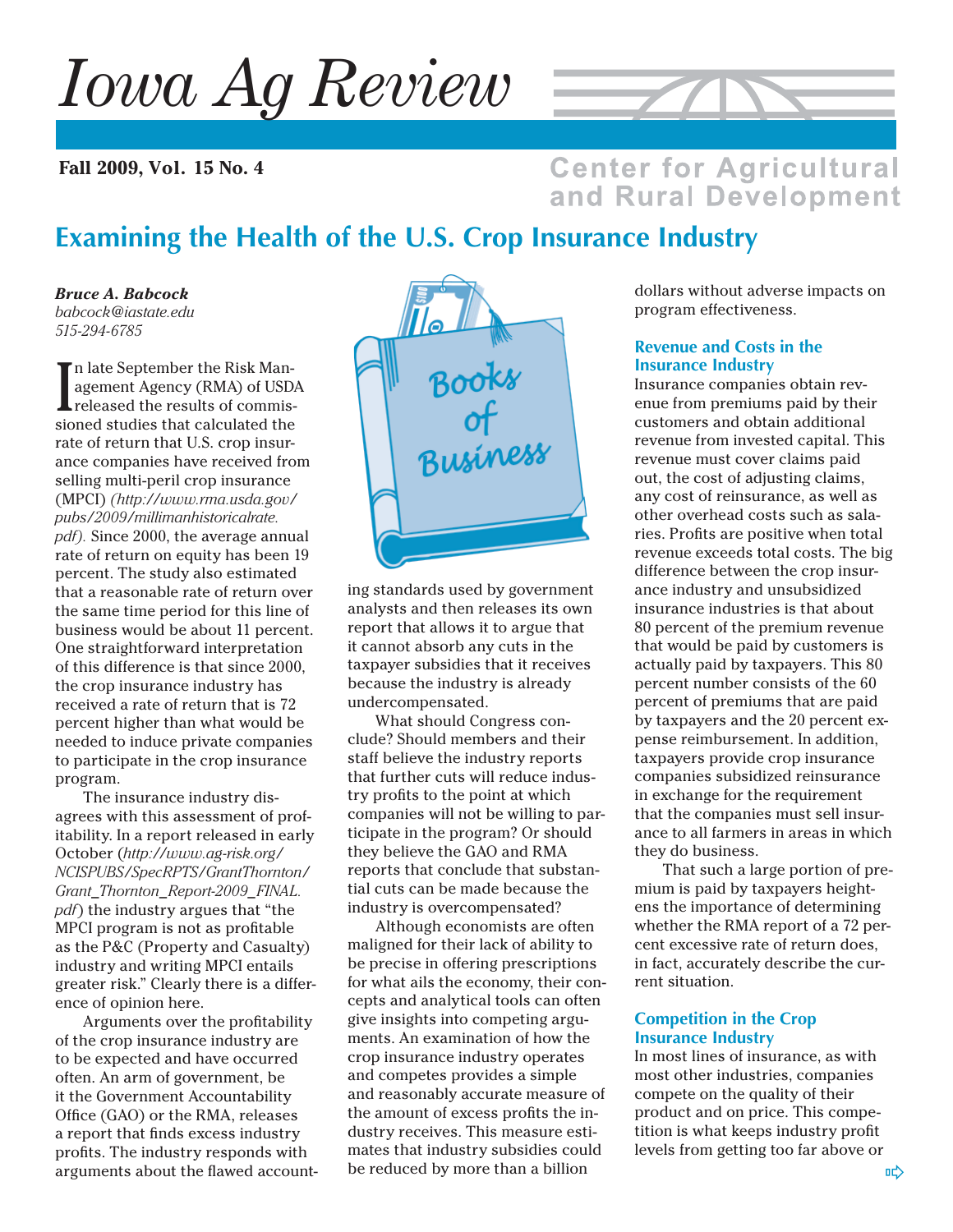*Iowa Ag Review*

**Fall 2009, Vol. 15 No. 4**



### **Center for Agricultural** and Rural Development

# **Examining the Health of the U.S. Crop Insurance Industry**

*Bruce A. Babcock babcock@iastate.edu 515-294-6785*

I n late September the Risk Management Agency (RMA) of USDA released the results of commissioned studies that calculated the rate of return that U.S. crop insurance companies have received from selling multi-peril crop insurance (MPCI) *(http://www.rma.usda.gov/ pubs/2009/millimanhistoricalrate. pdf).* Since 2000, the average annual rate of return on equity has been 19 percent. The study also estimated that a reasonable rate of return over the same time period for this line of business would be about 11 percent. One straightforward interpretation of this difference is that since 2000, the crop insurance industry has received a rate of return that is 72 percent higher than what would be needed to induce private companies to participate in the crop insurance program.

The insurance industry disagrees with this assessment of profitability. In a report released in early October (*http://www.ag-risk.org/ NCISPUBS/SpecRPTS/GrantThornton/ Grant\_Thornton\_Report-2009\_FINAL. pdf*) the industry argues that "the MPCI program is not as profitable as the P&C (Property and Casualty) industry and writing MPCI entails greater risk." Clearly there is a difference of opinion here.

Arguments over the profitability of the crop insurance industry are to be expected and have occurred often. An arm of government, be it the Government Accountability Office (GAO) or the RMA, releases a report that finds excess industry profits. The industry responds with arguments about the flawed account-



ing standards used by government analysts and then releases its own report that allows it to argue that it cannot absorb any cuts in the taxpayer subsidies that it receives because the industry is already undercompensated.

What should Congress conclude? Should members and their staff believe the industry reports that further cuts will reduce industry profits to the point at which companies will not be willing to participate in the program? Or should they believe the GAO and RMA reports that conclude that substantial cuts can be made because the industry is overcompensated?

Although economists are often maligned for their lack of ability to be precise in offering prescriptions for what ails the economy, their concepts and analytical tools can often give insights into competing arguments. An examination of how the crop insurance industry operates and competes provides a simple and reasonably accurate measure of the amount of excess profits the industry receives. This measure estimates that industry subsidies could be reduced by more than a billion

dollars without adverse impacts on program effectiveness.

#### **Revenue and Costs in the Insurance Industry**

Insurance companies obtain revenue from premiums paid by their customers and obtain additional revenue from invested capital. This revenue must cover claims paid out, the cost of adjusting claims, any cost of reinsurance, as well as other overhead costs such as salaries. Profits are positive when total revenue exceeds total costs. The big difference between the crop insurance industry and unsubsidized insurance industries is that about 80 percent of the premium revenue that would be paid by customers is actually paid by taxpayers. This 80 percent number consists of the 60 percent of premiums that are paid by taxpayers and the 20 percent expense reimbursement. In addition, taxpayers provide crop insurance companies subsidized reinsurance in exchange for the requirement that the companies must sell insurance to all farmers in areas in which they do business.

That such a large portion of premium is paid by taxpayers heightens the importance of determining whether the RMA report of a 72 percent excessive rate of return does, in fact, accurately describe the current situation.

#### **Competition in the Crop Insurance Industry**

In most lines of insurance, as with most other industries, companies compete on the quality of their product and on price. This competition is what keeps industry profit levels from getting too far above or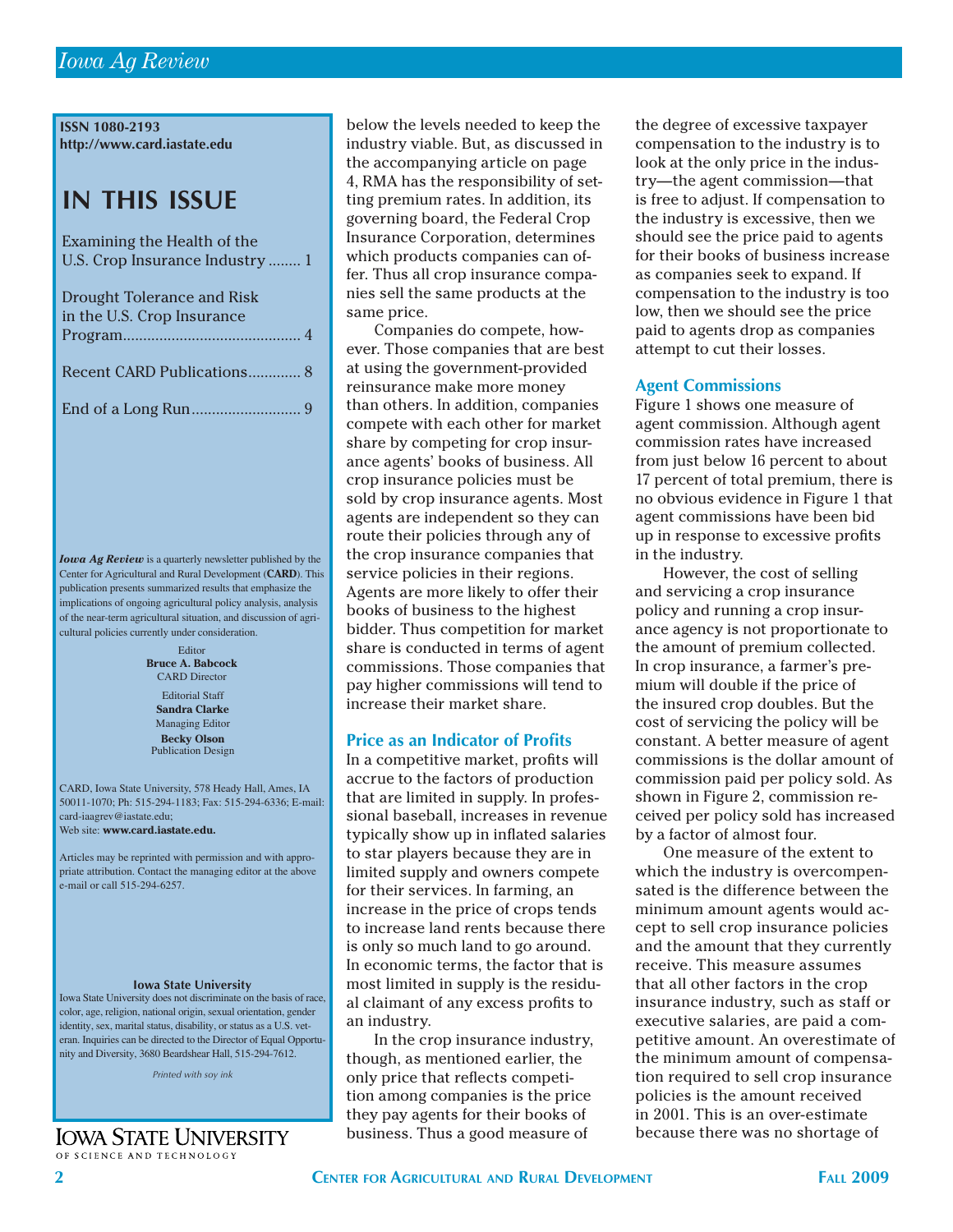**ISSN 1080-2193 http://www.card.iastate.edu**

# **IN THIS ISSUE**

| Examining the Health of the       |
|-----------------------------------|
| U.S. Crop Insurance Industry  1   |
|                                   |
| <b>Drought Tolerance and Risk</b> |
| in the U.S. Crop Insurance        |
|                                   |
|                                   |
| Recent CARD Publications 8        |
|                                   |
|                                   |
|                                   |

*Iowa Ag Review* is a quarterly newsletter published by the Center for Agricultural and Rural Development (**CARD**). This publication presents summarized results that emphasize the implications of ongoing agricultural policy analysis, analysis of the near-term agricultural situation, and discussion of agricultural policies currently under consideration.

> Editorial Staff Editor **Bruce A. Babcock** CARD Director

**Sandra Clarke** Managing Editor **Becky Olson** Publication Design

CARD, Iowa State University, 578 Heady Hall, Ames, IA 50011-1070; Ph: 515-294-1183; Fax: 515-294-6336; E-mail: card-iaagrev@iastate.edu; Web site: **www.card.iastate.edu.**

Articles may be reprinted with permission and with appropriate attribution. Contact the managing editor at the above e-mail or call 515-294-6257.

#### **Iowa State University**

Iowa State University does not discriminate on the basis of race, color, age, religion, national origin, sexual orientation, gender identity, sex, marital status, disability, or status as a U.S. veteran. Inquiries can be directed to the Director of Equal Opportunity and Diversity, 3680 Beardshear Hall, 515-294-7612.

*Printed with soy ink*

#### **IOWA STATE UNIVERSITY** OF SCIENCE AND TECHNOLOGY

below the levels needed to keep the industry viable. But, as discussed in the accompanying article on page 4, RMA has the responsibility of setting premium rates. In addition, its governing board, the Federal Crop Insurance Corporation, determines which products companies can offer. Thus all crop insurance companies sell the same products at the same price.

Companies do compete, however. Those companies that are best at using the government-provided reinsurance make more money than others. In addition, companies compete with each other for market share by competing for crop insurance agents' books of business. All crop insurance policies must be sold by crop insurance agents. Most agents are independent so they can route their policies through any of the crop insurance companies that service policies in their regions. Agents are more likely to offer their books of business to the highest bidder. Thus competition for market share is conducted in terms of agent commissions. Those companies that pay higher commissions will tend to increase their market share.

#### **Price as an Indicator of Profits**

In a competitive market, profits will accrue to the factors of production that are limited in supply. In professional baseball, increases in revenue typically show up in inflated salaries to star players because they are in limited supply and owners compete for their services. In farming, an increase in the price of crops tends to increase land rents because there is only so much land to go around. In economic terms, the factor that is most limited in supply is the residual claimant of any excess profits to an industry.

In the crop insurance industry, though, as mentioned earlier, the only price that reflects competition among companies is the price they pay agents for their books of business. Thus a good measure of

the degree of excessive taxpayer compensation to the industry is to look at the only price in the industry—the agent commission—that is free to adjust. If compensation to the industry is excessive, then we should see the price paid to agents for their books of business increase as companies seek to expand. If compensation to the industry is too low, then we should see the price paid to agents drop as companies attempt to cut their losses.

#### **Agent Commissions**

Figure 1 shows one measure of agent commission. Although agent commission rates have increased from just below 16 percent to about 17 percent of total premium, there is no obvious evidence in Figure 1 that agent commissions have been bid up in response to excessive profits in the industry.

However, the cost of selling and servicing a crop insurance policy and running a crop insurance agency is not proportionate to the amount of premium collected. In crop insurance, a farmer's premium will double if the price of the insured crop doubles. But the cost of servicing the policy will be constant. A better measure of agent commissions is the dollar amount of commission paid per policy sold. As shown in Figure 2, commission received per policy sold has increased by a factor of almost four.

One measure of the extent to which the industry is overcompensated is the difference between the minimum amount agents would accept to sell crop insurance policies and the amount that they currently receive. This measure assumes that all other factors in the crop insurance industry, such as staff or executive salaries, are paid a competitive amount. An overestimate of the minimum amount of compensation required to sell crop insurance policies is the amount received in 2001. This is an over-estimate because there was no shortage of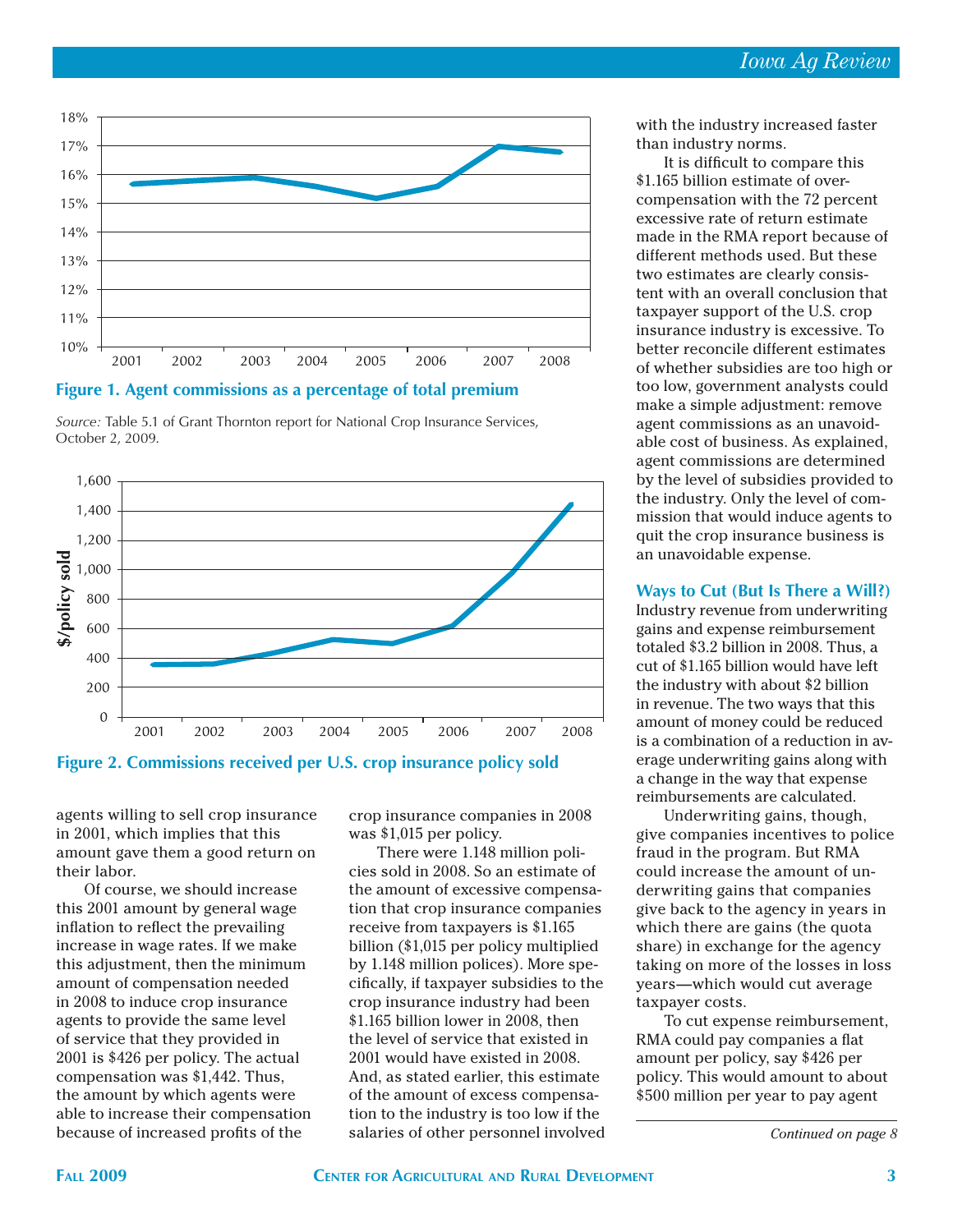



*Source:* Table 5.1 of Grant Thornton report for National Crop Insurance Services, October 2, 2009.



**Figure 2. Commissions received per U.S. crop insurance policy sold**

agents willing to sell crop insurance in 2001, which implies that this amount gave them a good return on their labor.

Of course, we should increase this 2001 amount by general wage inflation to reflect the prevailing increase in wage rates. If we make this adjustment, then the minimum amount of compensation needed in 2008 to induce crop insurance agents to provide the same level of service that they provided in 2001 is \$426 per policy. The actual compensation was \$1,442. Thus, the amount by which agents were able to increase their compensation because of increased profits of the

crop insurance companies in 2008 was \$1,015 per policy.

There were 1.148 million policies sold in 2008. So an estimate of the amount of excessive compensation that crop insurance companies receive from taxpayers is \$1.165 billion (\$1,015 per policy multiplied by 1.148 million polices). More specifically, if taxpayer subsidies to the crop insurance industry had been \$1.165 billion lower in 2008, then the level of service that existed in 2001 would have existed in 2008. And, as stated earlier, this estimate of the amount of excess compensation to the industry is too low if the salaries of other personnel involved with the industry increased faster than industry norms.

It is difficult to compare this \$1.165 billion estimate of overcompensation with the 72 percent excessive rate of return estimate made in the RMA report because of different methods used. But these two estimates are clearly consistent with an overall conclusion that taxpayer support of the U.S. crop insurance industry is excessive. To better reconcile different estimates of whether subsidies are too high or too low, government analysts could make a simple adjustment: remove agent commissions as an unavoidable cost of business. As explained, agent commissions are determined by the level of subsidies provided to the industry. Only the level of commission that would induce agents to quit the crop insurance business is an unavoidable expense.

### **Ways to Cut (But Is There a Will?)**

Industry revenue from underwriting gains and expense reimbursement totaled \$3.2 billion in 2008. Thus, a cut of \$1.165 billion would have left the industry with about \$2 billion in revenue. The two ways that this amount of money could be reduced is a combination of a reduction in average underwriting gains along with a change in the way that expense reimbursements are calculated.

Underwriting gains, though, give companies incentives to police fraud in the program. But RMA could increase the amount of underwriting gains that companies give back to the agency in years in which there are gains (the quota share) in exchange for the agency taking on more of the losses in loss years—which would cut average taxpayer costs.

To cut expense reimbursement, RMA could pay companies a flat amount per policy, say \$426 per policy. This would amount to about \$500 million per year to pay agent

*Continued on page 8*